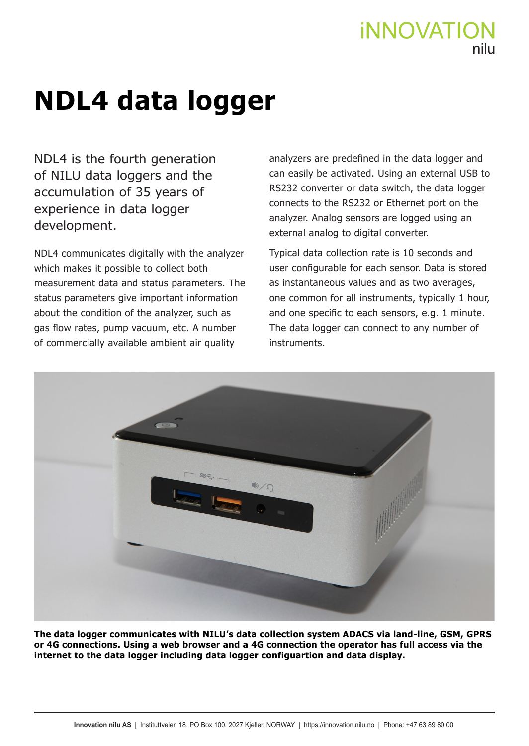## **iNNOVATIC**

## **NDL4 data logger**

NDL4 is the fourth generation of NILU data loggers and the accumulation of 35 years of experience in data logger development.

NDL4 communicates digitally with the analyzer which makes it possible to collect both measurement data and status parameters. The status parameters give important information about the condition of the analyzer, such as gas flow rates, pump vacuum, etc. A number of commercially available ambient air quality

analyzers are predefined in the data logger and can easily be activated. Using an external USB to RS232 converter or data switch, the data logger connects to the RS232 or Ethernet port on the analyzer. Analog sensors are logged using an external analog to digital converter.

Typical data collection rate is 10 seconds and user configurable for each sensor. Data is stored as instantaneous values and as two averages, one common for all instruments, typically 1 hour, and one specific to each sensors, e.g. 1 minute. The data logger can connect to any number of instruments.



**The data logger communicates with NILU's data collection system ADACS via land-line, GSM, GPRS or 4G connections. Using a web browser and a 4G connection the operator has full access via the internet to the data logger including data logger configuartion and data display.**